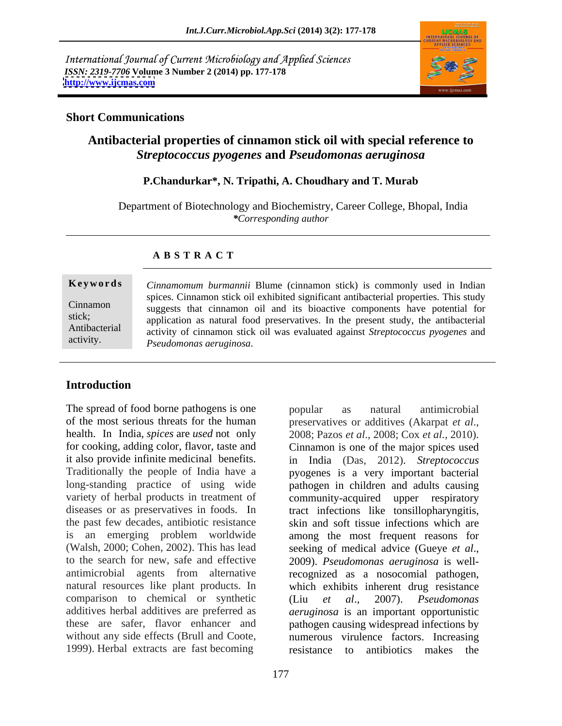International Journal of Current Microbiology and Applied Sciences *ISSN: 2319-7706* **Volume 3 Number 2 (2014) pp. 177-178 <http://www.ijcmas.com>**



### **Short Communications**

# **Antibacterial properties of cinnamon stick oil with special reference to**  *Streptococcus pyogenes* **and** *Pseudomonas aeruginosa*

## **P.Chandurkar\*, N. Tripathi, A. Choudhary and T. Murab**

 Department of Biotechnology and Biochemistry, Career College, Bhopal, India *\*Corresponding author*

### **A B S T R A C T**

**Ke ywo rds** *Cinnamomum burmannii* Blume (cinnamon stick) is commonly used in Indian Cinnamon suggests that cinnamon oil and its bioactive components have potential for stick; application as natural food preservatives. In the present study, the antibacterial Antibacterial activity of cinnamon stick oil was evaluated against *Streptococcus pyogenes* and activity. *Pseudomonas aeruginosa*.spices. Cinnamon stick oil exhibited significant antibacterial properties. This study

### **Introduction**

The spread of food borne pathogens is one bopular as natural antimicrobial of the most serious threats for the human preservatives or additives (Akarpat et al., health. In India, *spices* are *used* not only  $\overline{2008}$ ; Pazos *et al.*, 2008; Cox *et al.*, 2010). for cooking, adding color, flavor, taste and Cinnamon is one of the major spices used it also provide infinite medicinal benefits. in India (Das, 2012). *Streptococcus* Traditionally the people of India have a pyogenes is a very important bacterial long-standing practice of using wide pathogen in children and adults causing variety of herbal products in treatment of community-acquired upper respiratory diseases or as preservatives in foods. In tract infections like tonsillopharyngitis, the past few decades, antibiotic resistance is an emerging problem worldwide among the most frequent reasons for (Walsh, 2000; Cohen, 2002). This has lead seeking of medical advice (Gueye et al., to the search for new, safe and effective 2009). *Pseudomonas aeruginosa* is wellantimicrobial agents from alternative recognized as a nosocomial pathogen, natural resources like plant products. In which exhibits inherent drug resistance comparison to chemical or synthetic (Liu et al., 2007). *Pseudomonas* additives herbal additives are preferred as *aeruginosa* is an important opportunistic these are safer, flavor enhancer and pathogen causing widespread infections by without any side effects (Brull and Coote,<br>1999). Herbal extracts are fast becoming resistance to antibiotics makes the

popular as natural antimicrobial preservatives or additives (Akarpat *et al*., 2008; Pazos *et al*., 2008; Cox *et al.*, 2010). skin and soft tissue infections which are seeking of medical advice (Gueye *et al*., 2009). *Pseudomonas aeruginosa* is well-(Liu *et al*., 2007). *Pseudomonas*  numerous virulence factors. Increasing resistance to antibiotics makes the